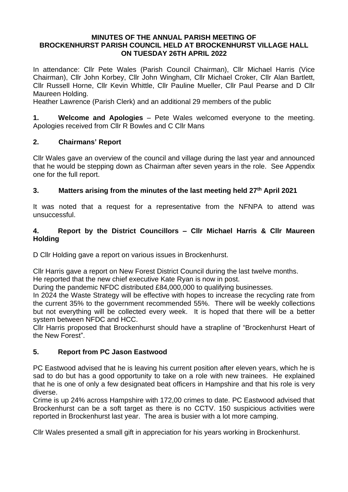#### **MINUTES OF THE ANNUAL PARISH MEETING OF BROCKENHURST PARISH COUNCIL HELD AT BROCKENHURST VILLAGE HALL ON TUESDAY 26TH APRIL 2022**

In attendance: Cllr Pete Wales (Parish Council Chairman), Cllr Michael Harris (Vice Chairman), Cllr John Korbey, Cllr John Wingham, Cllr Michael Croker, Cllr Alan Bartlett, Cllr Russell Horne, Cllr Kevin Whittle, Cllr Pauline Mueller, Cllr Paul Pearse and D Cllr Maureen Holding.

Heather Lawrence (Parish Clerk) and an additional 29 members of the public

**1. Welcome and Apologies** – Pete Wales welcomed everyone to the meeting. Apologies received from Cllr R Bowles and C Cllr Mans

## **2. Chairmans' Report**

Cllr Wales gave an overview of the council and village during the last year and announced that he would be stepping down as Chairman after seven years in the role. See Appendix one for the full report.

## **3. Matters arising from the minutes of the last meeting held 27th April 2021**

It was noted that a request for a representative from the NFNPA to attend was unsuccessful.

## **4. Report by the District Councillors – Cllr Michael Harris & Cllr Maureen Holding**

D Cllr Holding gave a report on various issues in Brockenhurst.

Cllr Harris gave a report on New Forest District Council during the last twelve months.

He reported that the new chief executive Kate Ryan is now in post.

During the pandemic NFDC distributed £84,000,000 to qualifying businesses.

In 2024 the Waste Strategy will be effective with hopes to increase the recycling rate from the current 35% to the government recommended 55%. There will be weekly collections but not everything will be collected every week. It is hoped that there will be a better system between NFDC and HCC.

Cllr Harris proposed that Brockenhurst should have a strapline of "Brockenhurst Heart of the New Forest".

## **5. Report from PC Jason Eastwood**

PC Eastwood advised that he is leaving his current position after eleven years, which he is sad to do but has a good opportunity to take on a role with new trainees. He explained that he is one of only a few designated beat officers in Hampshire and that his role is very diverse.

Crime is up 24% across Hampshire with 172,00 crimes to date. PC Eastwood advised that Brockenhurst can be a soft target as there is no CCTV. 150 suspicious activities were reported in Brockenhurst last year. The area is busier with a lot more camping.

Cllr Wales presented a small gift in appreciation for his years working in Brockenhurst.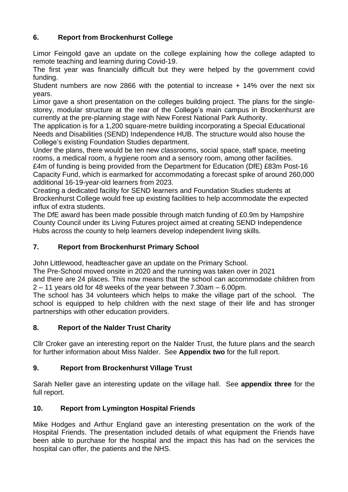## **6. Report from Brockenhurst College**

Limor Feingold gave an update on the college explaining how the college adapted to remote teaching and learning during Covid-19.

The first year was financially difficult but they were helped by the government covid funding.

Student numbers are now 2866 with the potential to increase + 14% over the next six years.

Limor gave a short presentation on the colleges building project. The plans for the singlestorey, modular structure at the rear of the College's main campus in Brockenhurst are currently at the pre-planning stage with New Forest National Park Authority.

The application is for a 1,200 square-metre building incorporating a Special Educational Needs and Disabilities (SEND) Independence HUB. The structure would also house the College's existing Foundation Studies department.

Under the plans, there would be ten new classrooms, social space, staff space, meeting rooms, a medical room, a hygiene room and a sensory room, among other facilities.

£4m of funding is being provided from the Department for Education (DfE) £83m Post-16 Capacity Fund, which is earmarked for accommodating a forecast spike of around 260,000 additional 16-19-year-old learners from 2023.

Creating a dedicated facility for SEND learners and Foundation Studies students at Brockenhurst College would free up existing facilities to help accommodate the expected influx of extra students.

The DfE award has been made possible through match funding of £0.9m by Hampshire County Council under its Living Futures project aimed at creating SEND Independence Hubs across the county to help learners develop independent living skills.

## **7. Report from Brockenhurst Primary School**

John Littlewood, headteacher gave an update on the Primary School.

The Pre-School moved onsite in 2020 and the running was taken over in 2021

and there are 24 places. This now means that the school can accommodate children from 2 – 11 years old for 48 weeks of the year between 7.30am – 6.00pm.

The school has 34 volunteers which helps to make the village part of the school. The school is equipped to help children with the next stage of their life and has stronger partnerships with other education providers.

## **8. Report of the Nalder Trust Charity**

Cllr Croker gave an interesting report on the Nalder Trust, the future plans and the search for further information about Miss Nalder. See **Appendix two** for the full report.

## **9. Report from Brockenhurst Village Trust**

Sarah Neller gave an interesting update on the village hall. See **appendix three** for the full report.

## **10. Report from Lymington Hospital Friends**

Mike Hodges and Arthur England gave an interesting presentation on the work of the Hospital Friends. The presentation included details of what equipment the Friends have been able to purchase for the hospital and the impact this has had on the services the hospital can offer, the patients and the NHS.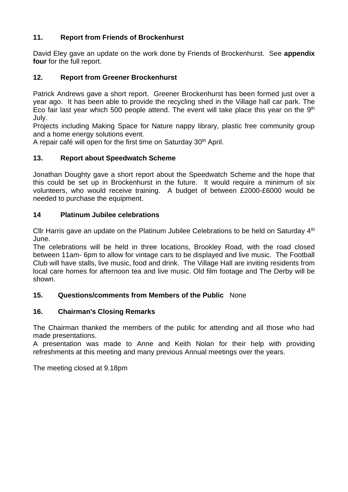## **11. Report from Friends of Brockenhurst**

David Eley gave an update on the work done by Friends of Brockenhurst. See **appendix four** for the full report.

## **12. Report from Greener Brockenhurst**

Patrick Andrews gave a short report. Greener Brockenhurst has been formed just over a year ago. It has been able to provide the recycling shed in the Village hall car park. The Eco fair last year which 500 people attend. The event will take place this year on the  $9<sup>th</sup>$ July.

Projects including Making Space for Nature nappy library, plastic free community group and a home energy solutions event.

A repair café will open for the first time on Saturday 30<sup>th</sup> April.

#### **13. Report about Speedwatch Scheme**

Jonathan Doughty gave a short report about the Speedwatch Scheme and the hope that this could be set up in Brockenhurst in the future. It would require a minimum of six volunteers, who would receive training. A budget of between £2000-£6000 would be needed to purchase the equipment.

#### **14 Platinum Jubilee celebrations**

Cllr Harris gave an update on the Platinum Jubilee Celebrations to be held on Saturday 4<sup>th</sup> June.

The celebrations will be held in three locations, Brookley Road, with the road closed between 11am- 6pm to allow for vintage cars to be displayed and live music. The Football Club will have stalls, live music, food and drink. The Village Hall are inviting residents from local care homes for afternoon tea and live music. Old film footage and The Derby will be shown.

## **15. Questions/comments from Members of the Public** None

## **16. Chairman's Closing Remarks**

The Chairman thanked the members of the public for attending and all those who had made presentations.

A presentation was made to Anne and Keith Nolan for their help with providing refreshments at this meeting and many previous Annual meetings over the years.

The meeting closed at 9.18pm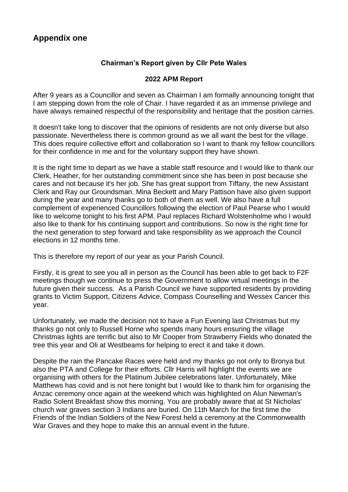## **Appendix one**

## **Chairman's Report given by Cllr Pete Wales**

#### **2022 APM Report**

After 9 years as a Councillor and seven as Chairman I am formally announcing tonight that I am stepping down from the role of Chair. I have regarded it as an immense privilege and have always remained respectful of the responsibility and heritage that the position carries.

It doesn't take long to discover that the opinions of residents are not only diverse but also passionate. Nevertheless there is common ground as we all want the best for the village. This does require collective effort and collaboration so I want to thank my fellow councillors for their confidence in me and for the voluntary support they have shown.

It is the right time to depart as we have a stable staff resource and I would like to thank our Clerk, Heather, for her outstanding commitment since she has been in post because she cares and not because it's her job. She has great support from Tiffany, the new Assistant Clerk and Ray our Groundsman. Mina Beckett and Mary Pattison have also given support during the year and many thanks go to both of them as well. We also have a full complement of experienced Councillors following the election of Paul Pearse who I would like to welcome tonight to his first APM. Paul replaces Richard Wolstenholme who I would also like to thank for his continuing support and contributions. So now is the right time for the next generation to step forward and take responsibility as we approach the Council elections in 12 months time.

This is therefore my report of our year as your Parish Council.

Firstly, it is great to see you all in person as the Council has been able to get back to F2F meetings though we continue to press the Government to allow virtual meetings in the future given their success. As a Parish Council we have supported residents by providing grants to Victim Support, Citizens Advice, Compass Counselling and Wessex Cancer this year.

Unfortunately, we made the decision not to have a Fun Evening last Christmas but my thanks go not only to Russell Horne who spends many hours ensuring the village Christmas lights are terrific but also to Mr Cooper from Strawberry Fields who donated the tree this year and Oli at Westbeams for helping to erect it and take it down.

Despite the rain the Pancake Races were held and my thanks go not only to Bronya but also the PTA and College for their efforts. Cllr Harris will highlight the events we are organising with others for the Platinum Jubilee celebrations later. Unfortunately, Mike Matthews has covid and is not here tonight but I would like to thank him for organising the Anzac ceremony once again at the weekend which was highlighted on Alun Newman's Radio Solent Breakfast show this morning. You are probably aware that at St Nicholas' church war graves section 3 Indians are buried. On 11th March for the first time the Friends of the Indian Soldiers of the New Forest held a ceremony at the Commonwealth War Graves and they hope to make this an annual event in the future.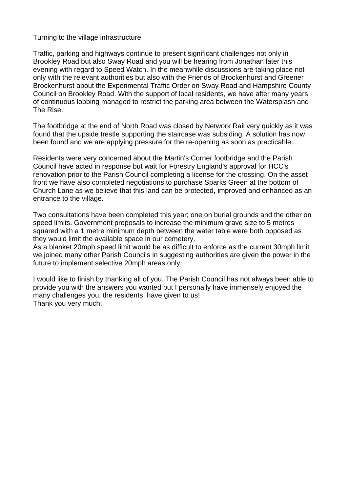Turning to the village infrastructure.

Traffic, parking and highways continue to present significant challenges not only in Brookley Road but also Sway Road and you will be hearing from Jonathan later this evening with regard to Speed Watch. In the meanwhile discussions are taking place not only with the relevant authorities but also with the Friends of Brockenhurst and Greener Brockenhurst about the Experimental Traffic Order on Sway Road and Hampshire County Council on Brookley Road. With the support of local residents, we have after many years of continuous lobbing managed to restrict the parking area between the Watersplash and The Rise.

The footbridge at the end of North Road was closed by Network Rail very quickly as it was found that the upside trestle supporting the staircase was subsiding. A solution has now been found and we are applying pressure for the re-opening as soon as practicable.

Residents were very concerned about the Martin's Corner footbridge and the Parish Council have acted in response but wait for Forestry England's approval for HCC's renovation prior to the Parish Council completing a license for the crossing. On the asset front we have also completed negotiations to purchase Sparks Green at the bottom of Church Lane as we believe that this land can be protected, improved and enhanced as an entrance to the village.

Two consultations have been completed this year; one on burial grounds and the other on speed limits. Government proposals to increase the minimum grave size to 5 metres squared with a 1 metre minimum depth between the water table were both opposed as they would limit the available space in our cemetery.

As a blanket 20mph speed limit would be as difficult to enforce as the current 30mph limit we joined many other Parish Councils in suggesting authorities are given the power in the future to implement selective 20mph areas only.

I would like to finish by thanking all of you. The Parish Council has not always been able to provide you with the answers you wanted but I personally have immensely enjoyed the many challenges you, the residents, have given to us! Thank you very much.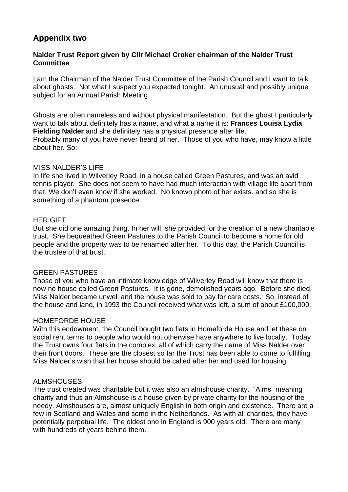## **Appendix two**

#### **Nalder Trust Report given by Cllr Michael Croker chairman of the Nalder Trust Committee**

I am the Chairman of the Nalder Trust Committee of the Parish Council and I want to talk about ghosts. Not what I suspect you expected tonight. An unusual and possibly unique subject for an Annual Parish Meeting.

Ghosts are often nameless and without physical manifestation. But the ghost I particularly want to talk about definitely has a name, and what a name it is: **Frances Louisa Lydia Fielding Nalder** and she definitely has a physical presence after life. Probably many of you have never heard of her. Those of you who have, may know a little about her. So:-

#### MISS NALDER'S LIFE

In life she lived in Wilverley Road, in a house called Green Pastures, and was an avid tennis player. She does not seem to have had much interaction with village life apart from that. We don't even know if she worked. No known photo of her exists. and so she is something of a phantom presence.

#### HER GIFT

But she did one amazing thing. In her will, she provided for the creation of a new charitable trust, She bequeathed Green Pastures to the Parish Council to become a home for old people and the property was to be renamed after her. To this day, the Parish Council is the trustee of that trust.

#### GREEN PASTURES

Those of you who have an intimate knowledge of Wilverley Road will know that there is now no house called Green Pastures. It is gone, demolished years ago. Before she died, Miss Nalder became unwell and the house was sold to pay for care costs. So, instead of the house and land, in 1993 the Council received what was left, a sum of about £100,000.

#### HOMEFORDE HOUSE

With this endowment, the Council bought two flats in Homeforde House and let these on social rent terms to people who would not otherwise have anywhere to live locally. Today the Trust owns four flats in the complex, all of which carry the name of Miss Nalder over their front doors. These are the closest so far the Trust has been able to come to fulfilling Miss Nalder's wish that her house should be called after her and used for housing.

#### ALMSHOUSES

The trust created was charitable but it was also an almshouse charity. "Alms" meaning charity and thus an Almshouse is a house given by private charity for the housing of the needy. Almshouses are, almost uniquely English in both origin and existence. There are a few in Scotland and Wales and some in the Netherlands. As with all charities, they have potentially perpetual life. The oldest one in England is 900 years old. There are many with hundreds of years behind them.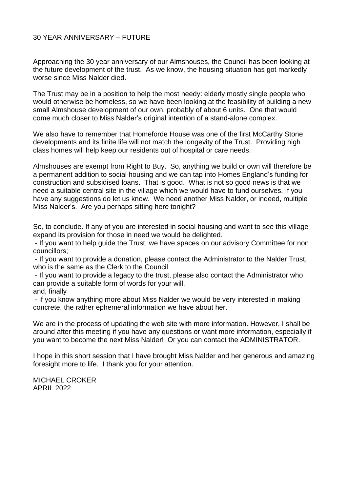#### 30 YEAR ANNIVERSARY – FUTURE

Approaching the 30 year anniversary of our Almshouses, the Council has been looking at the future development of the trust. As we know, the housing situation has got markedly worse since Miss Nalder died.

The Trust may be in a position to help the most needy: elderly mostly single people who would otherwise be homeless, so we have been looking at the feasibility of building a new small Almshouse development of our own, probably of about 6 units. One that would come much closer to Miss Nalder's original intention of a stand-alone complex.

We also have to remember that Homeforde House was one of the first McCarthy Stone developments and its finite life will not match the longevity of the Trust. Providing high class homes will help keep our residents out of hospital or care needs.

Almshouses are exempt from Right to Buy. So, anything we build or own will therefore be a permanent addition to social housing and we can tap into Homes England's funding for construction and subsidised loans. That is good. What is not so good news is that we need a suitable central site in the village which we would have to fund ourselves. If you have any suggestions do let us know. We need another Miss Nalder, or indeed, multiple Miss Nalder's. Are you perhaps sitting here tonight?

So, to conclude. If any of you are interested in social housing and want to see this village expand its provision for those in need we would be delighted.

- If you want to help guide the Trust, we have spaces on our advisory Committee for non councillors;

- If you want to provide a donation, please contact the Administrator to the Nalder Trust, who is the same as the Clerk to the Council

- If you want to provide a legacy to the trust, please also contact the Administrator who can provide a suitable form of words for your will.

and, finally

- if you know anything more about Miss Nalder we would be very interested in making concrete, the rather ephemeral information we have about her.

We are in the process of updating the web site with more information. However, I shall be around after this meeting if you have any questions or want more information, especially if you want to become the next Miss Nalder! Or you can contact the ADMINISTRATOR.

I hope in this short session that I have brought Miss Nalder and her generous and amazing foresight more to life. I thank you for your attention.

MICHAEL CROKER APRIL 2022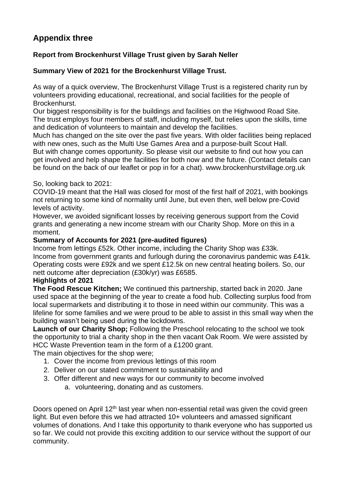# **Appendix three**

## **Report from Brockenhurst Village Trust given by Sarah Neller**

## **Summary View of 2021 for the Brockenhurst Village Trust.**

As way of a quick overview, The Brockenhurst Village Trust is a registered charity run by volunteers providing educational, recreational, and social facilities for the people of Brockenhurst.

Our biggest responsibility is for the buildings and facilities on the Highwood Road Site. The trust employs four members of staff, including myself, but relies upon the skills, time and dedication of volunteers to maintain and develop the facilities.

Much has changed on the site over the past five years. With older facilities being replaced with new ones, such as the Multi Use Games Area and a purpose-built Scout Hall. But with change comes opportunity. So please visit our website to find out how you can get involved and help shape the facilities for both now and the future. (Contact details can be found on the back of our leaflet or pop in for a chat). www.brockenhurstvillage.org.uk

## So, looking back to 2021:

COVID-19 meant that the Hall was closed for most of the first half of 2021, with bookings not returning to some kind of normality until June, but even then, well below pre-Covid levels of activity.

However, we avoided significant losses by receiving generous support from the Covid grants and generating a new income stream with our Charity Shop. More on this in a moment.

## **Summary of Accounts for 2021 (pre-audited figures)**

Income from lettings £52k. Other income, including the Charity Shop was £33k. Income from government grants and furlough during the coronavirus pandemic was £41k. Operating costs were £92k and we spent £12.5k on new central heating boilers. So, our nett outcome after depreciation (£30k/yr) was £6585.

#### **Highlights of 2021**

**The Food Rescue Kitchen;** We continued this partnership, started back in 2020. Jane used space at the beginning of the year to create a food hub. Collecting surplus food from local supermarkets and distributing it to those in need within our community. This was a lifeline for some families and we were proud to be able to assist in this small way when the building wasn't being used during the lockdowns.

**Launch of our Charity Shop;** Following the Preschool relocating to the school we took the opportunity to trial a charity shop in the then vacant Oak Room. We were assisted by HCC Waste Prevention team in the form of a £1200 grant.

The main objectives for the shop were;

- 1. Cover the income from previous lettings of this room
- 2. Deliver on our stated commitment to sustainability and
- 3. Offer different and new ways for our community to become involved a. volunteering, donating and as customers.

Doors opened on April 12<sup>th</sup> last year when non-essential retail was given the covid green light. But even before this we had attracted 10+ volunteers and amassed significant volumes of donations. And I take this opportunity to thank everyone who has supported us so far. We could not provide this exciting addition to our service without the support of our community.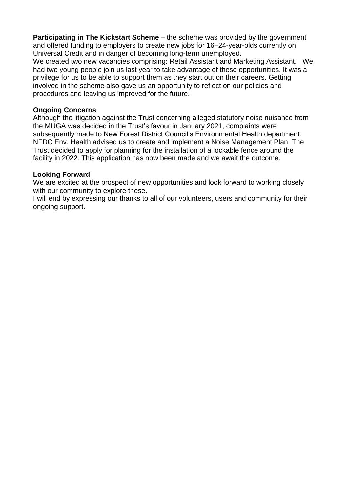**Participating in The Kickstart Scheme** – the scheme was provided by the government and offered funding to employers to create new jobs for 16–24-year-olds currently on Universal Credit and in danger of becoming long-term unemployed.

We created two new vacancies comprising: Retail Assistant and Marketing Assistant. We had two young people join us last year to take advantage of these opportunities. It was a privilege for us to be able to support them as they start out on their careers. Getting involved in the scheme also gave us an opportunity to reflect on our policies and procedures and leaving us improved for the future.

#### **Ongoing Concerns**

Although the litigation against the Trust concerning alleged statutory noise nuisance from the MUGA was decided in the Trust's favour in January 2021, complaints were subsequently made to New Forest District Council's Environmental Health department. NFDC Env. Health advised us to create and implement a Noise Management Plan. The Trust decided to apply for planning for the installation of a lockable fence around the facility in 2022. This application has now been made and we await the outcome.

#### **Looking Forward**

We are excited at the prospect of new opportunities and look forward to working closely with our community to explore these.

I will end by expressing our thanks to all of our volunteers, users and community for their ongoing support.